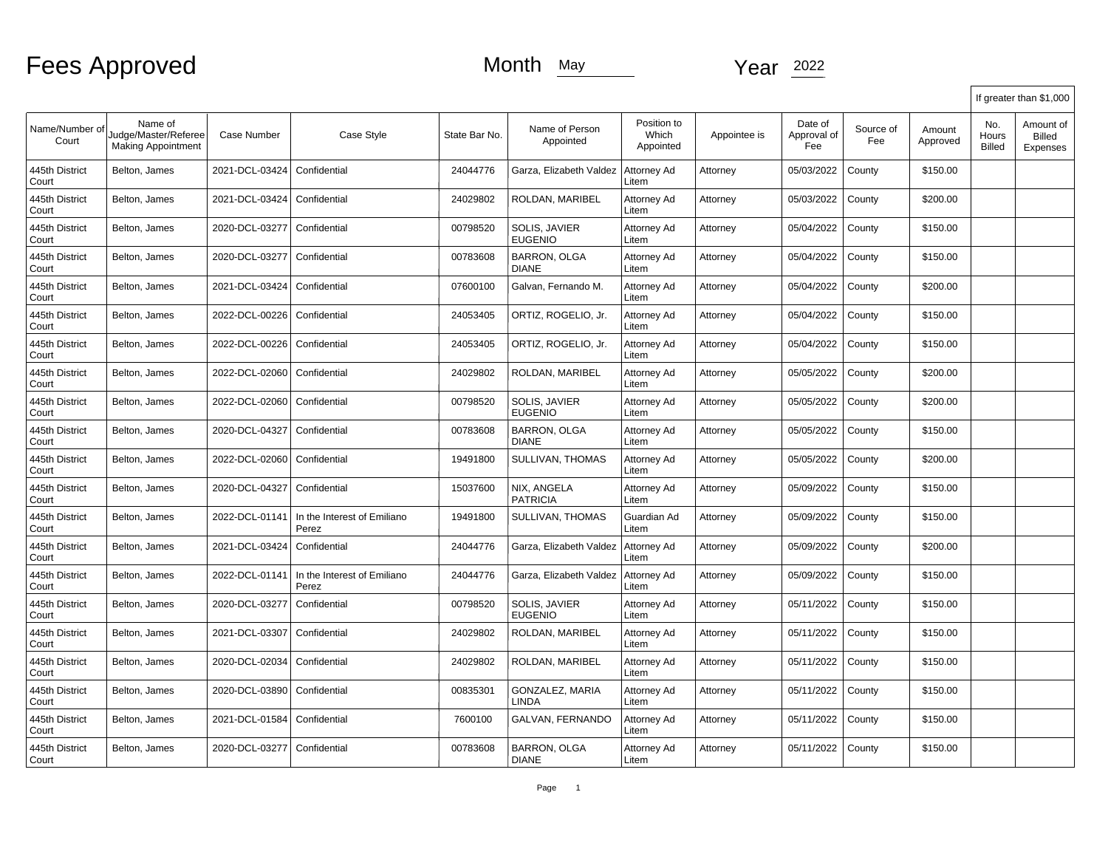|                         |                                                              |                |                                      |               |                                     |                                   |              |                               |                  |                    | If greater than \$1,000       |                                        |  |
|-------------------------|--------------------------------------------------------------|----------------|--------------------------------------|---------------|-------------------------------------|-----------------------------------|--------------|-------------------------------|------------------|--------------------|-------------------------------|----------------------------------------|--|
| Name/Number of<br>Court | Name of<br>Judge/Master/Referee<br><b>Making Appointment</b> | Case Number    | Case Style                           | State Bar No. | Name of Person<br>Appointed         | Position to<br>Which<br>Appointed | Appointee is | Date of<br>Approval of<br>Fee | Source of<br>Fee | Amount<br>Approved | No.<br>Hours<br><b>Billed</b> | Amount of<br><b>Billed</b><br>Expenses |  |
| 445th District<br>Court | Belton, James                                                | 2021-DCL-03424 | Confidential                         | 24044776      | Garza, Elizabeth Valdez             | Attorney Ad<br>Litem              | Attorney     | 05/03/2022                    | County           | \$150.00           |                               |                                        |  |
| 445th District<br>Court | Belton, James                                                | 2021-DCL-03424 | Confidential                         | 24029802      | ROLDAN, MARIBEL                     | Attorney Ad<br>Litem              | Attorney     | 05/03/2022                    | County           | \$200.00           |                               |                                        |  |
| 445th District<br>Court | Belton, James                                                | 2020-DCL-03277 | Confidential                         | 00798520      | SOLIS, JAVIER<br><b>EUGENIO</b>     | Attorney Ad<br>Litem              | Attorney     | 05/04/2022                    | County           | \$150.00           |                               |                                        |  |
| 445th District<br>Court | Belton, James                                                | 2020-DCL-03277 | Confidential                         | 00783608      | <b>BARRON, OLGA</b><br><b>DIANE</b> | Attorney Ad<br>Litem              | Attorney     | 05/04/2022                    | County           | \$150.00           |                               |                                        |  |
| 445th District<br>Court | Belton, James                                                | 2021-DCL-03424 | Confidential                         | 07600100      | Galvan, Fernando M.                 | Attorney Ad<br>Litem              | Attorney     | 05/04/2022                    | County           | \$200.00           |                               |                                        |  |
| 445th District<br>Court | Belton, James                                                | 2022-DCL-00226 | Confidential                         | 24053405      | ORTIZ, ROGELIO, Jr.                 | Attorney Ad<br>Litem              | Attorney     | 05/04/2022                    | County           | \$150.00           |                               |                                        |  |
| 445th District<br>Court | Belton, James                                                | 2022-DCL-00226 | Confidential                         | 24053405      | ORTIZ, ROGELIO, Jr.                 | Attorney Ad<br>Litem              | Attorney     | 05/04/2022                    | County           | \$150.00           |                               |                                        |  |
| 445th District<br>Court | Belton, James                                                | 2022-DCL-02060 | Confidential                         | 24029802      | ROLDAN, MARIBEL                     | Attorney Ad<br>Litem              | Attorney     | 05/05/2022                    | County           | \$200.00           |                               |                                        |  |
| 445th District<br>Court | Belton, James                                                | 2022-DCL-02060 | Confidential                         | 00798520      | SOLIS, JAVIER<br><b>EUGENIO</b>     | Attorney Ad<br>Litem              | Attorney     | 05/05/2022                    | County           | \$200.00           |                               |                                        |  |
| 445th District<br>Court | Belton, James                                                | 2020-DCL-04327 | Confidential                         | 00783608      | <b>BARRON, OLGA</b><br><b>DIANE</b> | Attorney Ad<br>Litem              | Attorney     | 05/05/2022                    | County           | \$150.00           |                               |                                        |  |
| 445th District<br>Court | Belton, James                                                | 2022-DCL-02060 | Confidential                         | 19491800      | SULLIVAN, THOMAS                    | Attorney Ad<br>Litem              | Attorney     | 05/05/2022                    | County           | \$200.00           |                               |                                        |  |
| 445th District<br>Court | Belton, James                                                | 2020-DCL-04327 | Confidential                         | 15037600      | NIX, ANGELA<br><b>PATRICIA</b>      | Attorney Ad<br>Litem              | Attorney     | 05/09/2022                    | County           | \$150.00           |                               |                                        |  |
| 445th District<br>Court | Belton, James                                                | 2022-DCL-01141 | In the Interest of Emiliano<br>Perez | 19491800      | <b>SULLIVAN. THOMAS</b>             | Guardian Ad<br>Litem              | Attorney     | 05/09/2022                    | County           | \$150.00           |                               |                                        |  |
| 445th District<br>Court | Belton, James                                                | 2021-DCL-03424 | Confidential                         | 24044776      | Garza, Elizabeth Valdez             | Attorney Ad<br>Litem              | Attorney     | 05/09/2022                    | County           | \$200.00           |                               |                                        |  |
| 445th District<br>Court | Belton, James                                                | 2022-DCL-01141 | In the Interest of Emiliano<br>Perez | 24044776      | Garza, Elizabeth Valdez             | Attorney Ad<br>Litem              | Attorney     | 05/09/2022                    | County           | \$150.00           |                               |                                        |  |
| 445th District<br>Court | Belton, James                                                | 2020-DCL-03277 | Confidential                         | 00798520      | SOLIS, JAVIER<br><b>EUGENIO</b>     | Attorney Ad<br>Litem              | Attorney     | 05/11/2022                    | County           | \$150.00           |                               |                                        |  |
| 445th District<br>Court | Belton, James                                                | 2021-DCL-03307 | Confidential                         | 24029802      | ROLDAN, MARIBEL                     | Attorney Ad<br>Litem              | Attorney     | 05/11/2022                    | County           | \$150.00           |                               |                                        |  |
| 445th District<br>Court | Belton, James                                                | 2020-DCL-02034 | Confidential                         | 24029802      | ROLDAN, MARIBEL                     | Attorney Ad<br>Litem              | Attorney     | 05/11/2022                    | County           | \$150.00           |                               |                                        |  |
| 445th District<br>Court | Belton, James                                                | 2020-DCL-03890 | Confidential                         | 00835301      | GONZALEZ, MARIA<br>LINDA            | Attorney Ad<br>Litem              | Attorney     | 05/11/2022                    | County           | \$150.00           |                               |                                        |  |
| 445th District<br>Court | Belton, James                                                | 2021-DCL-01584 | Confidential                         | 7600100       | GALVAN, FERNANDO                    | Attorney Ad<br>Litem              | Attorney     | 05/11/2022                    | County           | \$150.00           |                               |                                        |  |
| 445th District<br>Court | Belton, James                                                | 2020-DCL-03277 | Confidential                         | 00783608      | <b>BARRON, OLGA</b><br><b>DIANE</b> | Attorney Ad<br>Litem              | Attorney     | 05/11/2022                    | County           | \$150.00           |                               |                                        |  |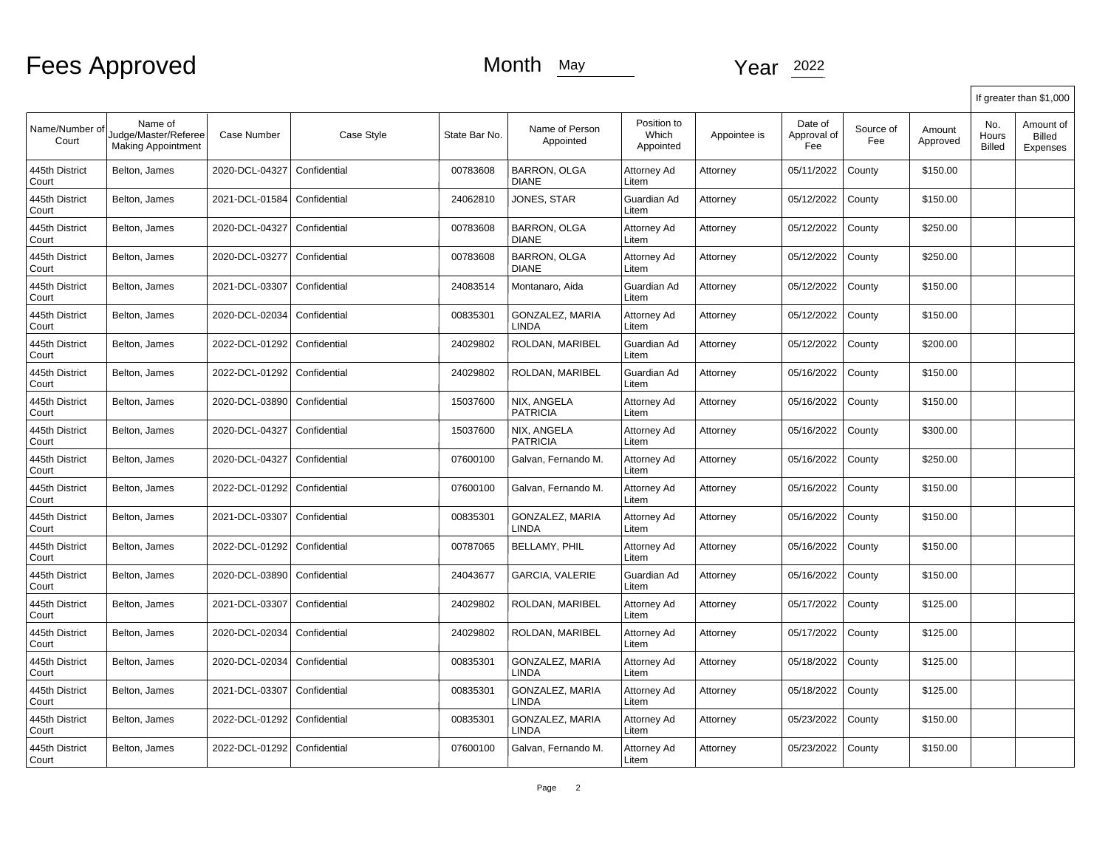|                         |                                                              |                |              |               |                                        |                                   |              |                               |                  |                    |                        | If greater than \$1,000                |
|-------------------------|--------------------------------------------------------------|----------------|--------------|---------------|----------------------------------------|-----------------------------------|--------------|-------------------------------|------------------|--------------------|------------------------|----------------------------------------|
| Name/Number of<br>Court | Name of<br>Judge/Master/Referee<br><b>Making Appointment</b> | Case Number    | Case Style   | State Bar No. | Name of Person<br>Appointed            | Position to<br>Which<br>Appointed | Appointee is | Date of<br>Approval of<br>Fee | Source of<br>Fee | Amount<br>Approved | No.<br>Hours<br>Billed | Amount of<br><b>Billed</b><br>Expenses |
| 445th District<br>Court | Belton, James                                                | 2020-DCL-04327 | Confidential | 00783608      | <b>BARRON, OLGA</b><br><b>DIANE</b>    | Attorney Ad<br>Litem              | Attorney     | 05/11/2022                    | County           | \$150.00           |                        |                                        |
| 445th District<br>Court | Belton, James                                                | 2021-DCL-01584 | Confidential | 24062810      | JONES, STAR                            | Guardian Ad<br>Litem              | Attorney     | 05/12/2022                    | County           | \$150.00           |                        |                                        |
| 445th District<br>Court | Belton, James                                                | 2020-DCL-04327 | Confidential | 00783608      | <b>BARRON, OLGA</b><br><b>DIANE</b>    | Attorney Ad<br>Litem              | Attorney     | 05/12/2022                    | County           | \$250.00           |                        |                                        |
| 445th District<br>Court | Belton, James                                                | 2020-DCL-03277 | Confidential | 00783608      | <b>BARRON, OLGA</b><br><b>DIANE</b>    | Attorney Ad<br>Litem              | Attorney     | 05/12/2022                    | County           | \$250.00           |                        |                                        |
| 445th District<br>Court | Belton, James                                                | 2021-DCL-03307 | Confidential | 24083514      | Montanaro, Aida                        | Guardian Ad<br>Litem              | Attorney     | 05/12/2022                    | County           | \$150.00           |                        |                                        |
| 445th District<br>Court | Belton, James                                                | 2020-DCL-02034 | Confidential | 00835301      | <b>GONZALEZ, MARIA</b><br><b>LINDA</b> | Attorney Ad<br>Litem              | Attorney     | 05/12/2022                    | County           | \$150.00           |                        |                                        |
| 445th District<br>Court | Belton, James                                                | 2022-DCL-01292 | Confidential | 24029802      | ROLDAN, MARIBEL                        | Guardian Ad<br>Litem              | Attorney     | 05/12/2022                    | County           | \$200.00           |                        |                                        |
| 445th District<br>Court | Belton, James                                                | 2022-DCL-01292 | Confidential | 24029802      | ROLDAN, MARIBEL                        | Guardian Ad<br>Litem              | Attorney     | 05/16/2022                    | County           | \$150.00           |                        |                                        |
| 445th District<br>Court | Belton, James                                                | 2020-DCL-03890 | Confidential | 15037600      | NIX, ANGELA<br><b>PATRICIA</b>         | Attorney Ad<br>Litem              | Attorney     | 05/16/2022                    | County           | \$150.00           |                        |                                        |
| 445th District<br>Court | Belton, James                                                | 2020-DCL-04327 | Confidential | 15037600      | NIX. ANGELA<br><b>PATRICIA</b>         | Attorney Ad<br>Litem              | Attorney     | 05/16/2022                    | County           | \$300.00           |                        |                                        |
| 445th District<br>Court | Belton, James                                                | 2020-DCL-04327 | Confidential | 07600100      | Galvan, Fernando M.                    | Attorney Ad<br>Litem              | Attorney     | 05/16/2022                    | County           | \$250.00           |                        |                                        |
| 445th District<br>Court | Belton, James                                                | 2022-DCL-01292 | Confidential | 07600100      | Galvan, Fernando M.                    | Attorney Ad<br>Litem              | Attorney     | 05/16/2022                    | County           | \$150.00           |                        |                                        |
| 445th District<br>Court | Belton, James                                                | 2021-DCL-03307 | Confidential | 00835301      | GONZALEZ, MARIA<br>LINDA               | Attorney Ad<br>Litem              | Attorney     | 05/16/2022                    | County           | \$150.00           |                        |                                        |
| 445th District<br>Court | Belton, James                                                | 2022-DCL-01292 | Confidential | 00787065      | <b>BELLAMY, PHIL</b>                   | Attorney Ad<br>Litem              | Attorney     | 05/16/2022                    | County           | \$150.00           |                        |                                        |
| 445th District<br>Court | Belton, James                                                | 2020-DCL-03890 | Confidential | 24043677      | <b>GARCIA, VALERIE</b>                 | Guardian Ad<br>Litem              | Attorney     | 05/16/2022                    | County           | \$150.00           |                        |                                        |
| 445th District<br>Court | Belton, James                                                | 2021-DCL-03307 | Confidential | 24029802      | ROLDAN, MARIBEL                        | Attorney Ad<br>Litem              | Attorney     | 05/17/2022                    | County           | \$125.00           |                        |                                        |
| 445th District<br>Court | Belton, James                                                | 2020-DCL-02034 | Confidential | 24029802      | ROLDAN. MARIBEL                        | Attorney Ad<br>Litem              | Attorney     | 05/17/2022                    | County           | \$125.00           |                        |                                        |
| 445th District<br>Court | Belton, James                                                | 2020-DCL-02034 | Confidential | 00835301      | <b>GONZALEZ, MARIA</b><br><b>LINDA</b> | Attorney Ad<br>Litem              | Attorney     | 05/18/2022                    | County           | \$125.00           |                        |                                        |
| 445th District<br>Court | Belton, James                                                | 2021-DCL-03307 | Confidential | 00835301      | GONZALEZ, MARIA<br><b>LINDA</b>        | Attorney Ad<br>Litem              | Attorney     | 05/18/2022                    | County           | \$125.00           |                        |                                        |
| 445th District<br>Court | Belton, James                                                | 2022-DCL-01292 | Confidential | 00835301      | <b>GONZALEZ, MARIA</b><br>LINDA        | Attorney Ad<br>Litem              | Attorney     | 05/23/2022                    | County           | \$150.00           |                        |                                        |
| 445th District<br>Court | Belton, James                                                | 2022-DCL-01292 | Confidential | 07600100      | Galvan, Fernando M.                    | Attorney Ad<br>Litem              | Attorney     | 05/23/2022                    | County           | \$150.00           |                        |                                        |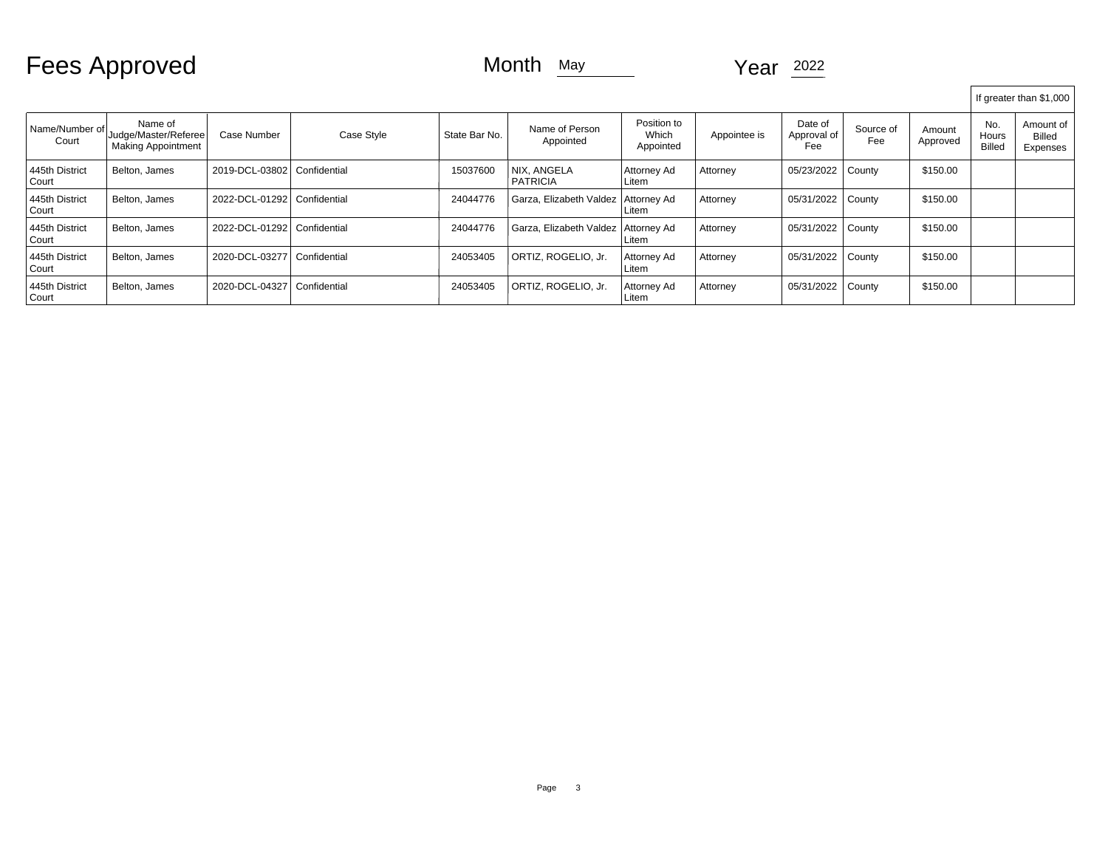Fees Approved Month May Month May Year 2022

|                             |                                                              |                |              |               |                                       |                                   |              |                               |                  |                    |                               | If greater than \$1,000                |
|-----------------------------|--------------------------------------------------------------|----------------|--------------|---------------|---------------------------------------|-----------------------------------|--------------|-------------------------------|------------------|--------------------|-------------------------------|----------------------------------------|
| l Name/Number of l<br>Court | Name of<br>Judge/Master/Referee<br><b>Making Appointment</b> | Case Number    | Case Style   | State Bar No. | Name of Person<br>Appointed           | Position to<br>Which<br>Appointed | Appointee is | Date of<br>Approval of<br>Fee | Source of<br>Fee | Amount<br>Approved | No.<br>Hours<br><b>Billed</b> | Amount of<br><b>Billed</b><br>Expenses |
| 445th District<br>Court     | Belton, James                                                | 2019-DCL-03802 | Confidential | 15037600      | NIX. ANGELA<br><b>PATRICIA</b>        | Attorney Ad<br>Litem              | Attorney     | 05/23/2022                    | County           | \$150.00           |                               |                                        |
| 445th District<br>Court     | Belton, James                                                | 2022-DCL-01292 | Confidential | 24044776      | Garza, Elizabeth Valdez   Attorney Ad | Litem                             | Attorney     | 05/31/2022                    | <b>County</b>    | \$150.00           |                               |                                        |
| 445th District<br>Court     | Belton, James                                                | 2022-DCL-01292 | Confidential | 24044776      | Garza, Elizabeth Valdez Attorney Ad   | Litem                             | Attorney     | 05/31/2022                    | County           | \$150.00           |                               |                                        |
| 445th District<br>Court     | Belton, James                                                | 2020-DCL-03277 | Confidential | 24053405      | ORTIZ, ROGELIO, Jr.                   | Attorney Ad<br>Litem              | Attorney     | 05/31/2022                    | County           | \$150.00           |                               |                                        |
| 445th District<br>Court     | Belton, James                                                | 2020-DCL-04327 | Confidential | 24053405      | ORTIZ, ROGELIO, Jr.                   | Attorney Ad<br>Litem              | Attorney     | 05/31/2022                    | County           | \$150.00           |                               |                                        |